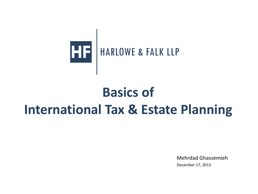

### **Basics of International Tax & Estate Planning**

Mehrdad Ghassemieh December 17, 2013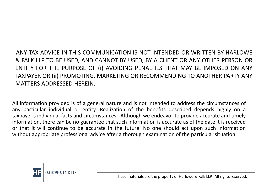ANY TAX ADVICE IN THIS COMMUNICATION IS NOT INTENDED OR WRITTEN BY HARLOWE & FALK LLP TO BE USED, AND CANNOT BY USED, BY A CLIENT OR ANY OTHER PERSON OR ENTITY FOR THE PURPOSE OF (i) AVOIDING PENALTIES THAT MAY BE IMPOSED ON ANY TAXPAYER OR (ii) PROMOTING, MARKETING OR RECOMMENDING TO ANOTHER PARTY ANY MATTERS ADDRESSED HEREIN.

All information provided is of a general nature and is not intended to address the circumstances of any particular individual or entity. Realization of the benefits described depends highly on a taxpayer's individual facts and circumstances. Although we endeavor to provide accurate and timely information, there can be no guarantee that such information is accurate as of the date it is received or that it will continue to be accurate in the future. No one should act upon such information without appropriate professional advice after a thorough examination of the particular situation.

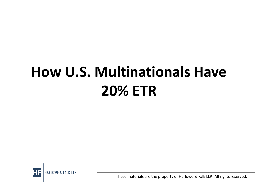# **How U.S. Multinationals Have 20% ETR**

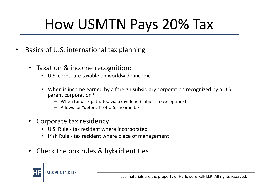- Basics of U.S. international tax planning
	- Taxation & income recognition:
		- U.S. corps. are taxable on worldwide income
		- When is income earned by a foreign subsidiary corporation recognized by a U.S. parent corporation?
			- When funds repatriated via a dividend (subject to exceptions)
			- Allows for "deferral" of U.S. income tax
	- Corporate tax residency
		- U.S. Rule tax resident where incorporated
		- Irish Rule tax resident where place of management
	- Check the box rules & hybrid entities

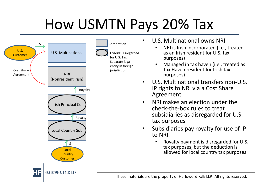

- U.S. Multinational owns NRI
	- NRI is Irish incorporated (i.e., treated as an Irish resident for U.S. tax purposes)
	- Managed in tax haven (i.e., treated as Tax Haven resident for Irish tax purposes)
- U.S. Multinational transfers non-U.S. IP rights to NRI via a Cost Share Agreement
- NRI makes an election under the check-the-box rules to treat subsidiaries as disregarded for U.S. tax purposes
- Subsidiaries pay royalty for use of IP to NRI.
	- Royalty payment is disregarded for U.S. tax purposes, but the deduction is allowed for local country tax purposes.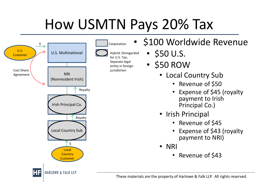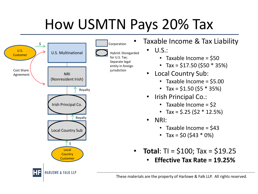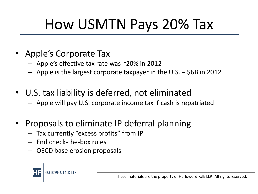- Apple's Corporate Tax
	- Apple's effective tax rate was ~20% in 2012
	- Apple is the largest corporate taxpayer in the U.S. \$6B in 2012
- U.S. tax liability is deferred, not eliminated
	- Apple will pay U.S. corporate income tax if cash is repatriated
- Proposals to eliminate IP deferral planning
	- Tax currently "excess profits" from IP
	- End check-the-box rules
	- OECD base erosion proposals

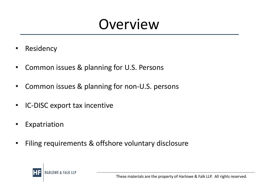### **Overview**

- Residency
- Common issues & planning for U.S. Persons
- Common issues & planning for non-U.S. persons
- IC-DISC export tax incentive
- Expatriation
- Filing requirements & offshore voluntary disclosure

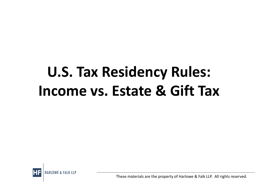# **U.S. Tax Residency Rules: Income vs. Estate & Gift Tax**

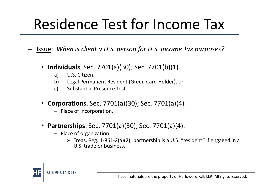## Residence Test for Income Tax

– Issue: *When is client a U.S. person for U.S. Income Tax purposes?*

- **Individuals**. Sec. 7701(a)(30); Sec. 7701(b)(1).
	- a) U.S. Citizen,
	- b) Legal Permanent Resident (Green Card Holder), or
	- c) Substantial Presence Test.
- **Corporations**. Sec. 7701(a)(30); Sec. 7701(a)(4).
	- Place of incorporation.
- **Partnerships**. Sec. 7701(a)(30); Sec. 7701(a)(4).
	- Place of organization
		- » Treas. Reg. 1-861-2(a)(2); partnership is a U.S. "resident" if engaged in a U.S. trade or business.

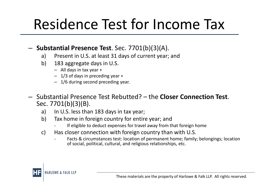## Residence Test for Income Tax

#### – **Substantial Presence Test**. Sec. 7701(b)(3)(A).

- a) Present in U.S. at least 31 days of current year; and
- b) 183 aggregate days in U.S.
	- All days in tax year +
	- $-1/3$  of days in preceding year  $+$
	- 1/6 during second preceding year.
- Substantial Presence Test Rebutted? the **Closer Connection Test**. Sec. 7701(b)(3)(B).
	- a) In U.S. less than 183 days in tax year;
	- b) Tax home in foreign country for entire year; and
		- If eligible to deduct expenses for travel away from that foreign home
	- c) Has closer connection with foreign country than with U.S.
		- Facts & circumstances test: location of permanent home; family; belongings; location of social, political, cultural, and religious relationships, etc.

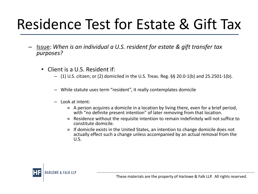## Residence Test for Estate & Gift Tax

- Issue: *When is an individual a U.S. resident for estate & gift transfer tax purposes?*
	- Client is a U.S. Resident if:
		- (1) U.S. citizen; or (2) domiciled in the U.S. Treas. Reg. §§ 20.0-1(b) and 25.2501-1(b).
		- While statute uses term "resident", it really contemplates domicile
		- Look at intent:
			- » A person acquires a domicile in a location by living there, even for a brief period, with "no definite present intention" of later removing from that location.
			- » Residence without the requisite intention to remain indefinitely will not suffice to constitute domicile.
			- » If domicile exists in the United States, an intention to change domicile does not actually effect such a change unless accompanied by an actual removal from the U.S.

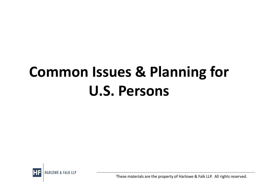# **Common Issues & Planning for U.S. Persons**

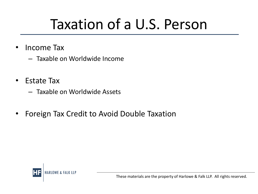## Taxation of a U.S. Person

- Income Tax
	- Taxable on Worldwide Income
- Estate Tax
	- Taxable on Worldwide Assets
- Foreign Tax Credit to Avoid Double Taxation

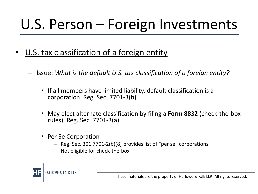## U.S. Person – Foreign Investments

- U.S. tax classification of a foreign entity
	- Issue: *What is the default U.S. tax classification of a foreign entity?* 
		- If all members have limited liability, default classification is a corporation. Reg. Sec. 7701-3(b).
		- May elect alternate classification by filing a **Form 8832** (check-the-box rules). Reg. Sec. 7701-3(a).
		- Per Se Corporation
			- Reg. Sec. 301.7701-2(b)(8) provides list of "per se" corporations
			- Not eligible for check-the-box

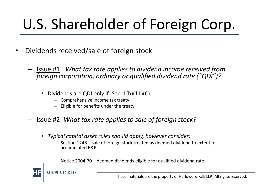# U.S. Shareholder of Foreign Corp.

- Dividends received/sale of foreign stock
	- Issue #1: *What tax rate applies to dividend income received from foreign corporation, ordinary or qualified dividend rate ("QDI")?* 
		- Dividends are QDI only if: Sec. 1(h)(11)(C).
			- Comprehensive income tax treaty
			- Eligible for benefits under the treaty

#### – Issue #2: *What tax rate applies to sale of foreign stock?*

- *Typical capital asset rules should apply, however consider:* 
	- Section 1248 sale of foreign stock treated as deemed dividend to extent of accumulated E&P
	- Notice 2004-70 deemed dividends eligible for qualified dividend rate

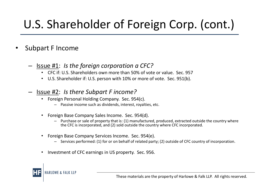### U.S. Shareholder of Foreign Corp. (cont.)

#### • Subpart F Income

#### – Issue #1: *Is the foreign corporation a CFC?*

- CFC if: U.S. Shareholders own more than 50% of vote or value. Sec. 957
- U.S. Shareholder if: U.S. person with 10% or more of vote. Sec. 951(b).

#### – Issue #2: *Is there Subpart F income?*

- Foreign Personal Holding Company. Sec. 954(c).
	- Passive income such as dividends, interest, royalties, etc.
- Foreign Base Company Sales Income. Sec. 954(d).
	- Purchase or sale of property that is: (1) manufactured, produced, extracted outside the country where the CFC is incorporated, and (2) sold outside the country where CFC incorporated.
- Foreign Base Company Services Income. Sec. 954(e).
	- Services performed: (1) for or on behalf of related party; (2) outside of CFC country of incorporation.
- Investment of CFC earnings in US property. Sec. 956.

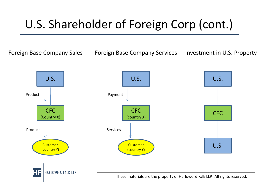#### U.S. Shareholder of Foreign Corp (cont.)

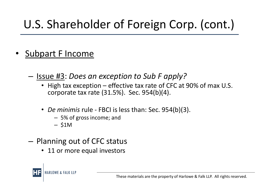### U.S. Shareholder of Foreign Corp. (cont.)

- Subpart F Income
	- Issue #3: *Does an exception to Sub F apply?* 
		- High tax exception effective tax rate of CFC at 90% of max U.S. corporate tax rate (31.5%). Sec. 954(b)(4).
		- *De minimis* rule FBCI is less than: Sec. 954(b)(3).
			- 5% of gross income; and
			- \$1M
	- Planning out of CFC status
		- 11 or more equal investors

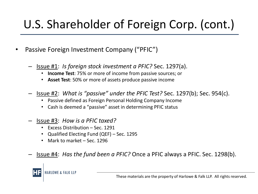#### U.S. Shareholder of Foreign Corp. (cont.)

- Passive Foreign Investment Company ("PFIC")
	- Issue #1: *Is foreign stock investment a PFIC?* Sec. 1297(a).
		- **Income Test**: 75% or more of income from passive sources; or
		- **Asset Test**: 50% or more of assets produce passive income
	- Issue #2: *What is "passive" under the PFIC Test?* Sec. 1297(b); Sec. 954(c).
		- Passive defined as Foreign Personal Holding Company Income
		- Cash is deemed a "passive" asset in determining PFIC status
	- Issue #3: *How is a PFIC taxed?* 
		- Excess Distribution Sec. 1291
		- Qualified Electing Fund (QEF) Sec. 1295
		- Mark to market Sec. 1296
	- Issue #4: *Has the fund been a PFIC?* Once a PFIC always a PFIC. Sec. 1298(b).

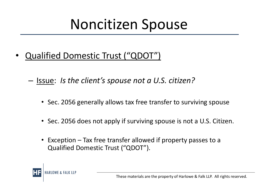## Noncitizen Spouse

- Qualified Domestic Trust ("QDOT")
	- Issue: *Is the client's spouse not a U.S. citizen?* 
		- Sec. 2056 generally allows tax free transfer to surviving spouse
		- Sec. 2056 does not apply if surviving spouse is not a U.S. Citizen.
		- Exception Tax free transfer allowed if property passes to a Qualified Domestic Trust ("QDOT").

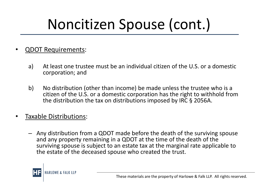# Noncitizen Spouse (cont.)

- QDOT Requirements:
	- a) At least one trustee must be an individual citizen of the U.S. or a domestic corporation; and
	- b) No distribution (other than income) be made unless the trustee who is a citizen of the U.S. or a domestic corporation has the right to withhold from the distribution the tax on distributions imposed by IRC § 2056A.
- Taxable Distributions:
	- Any distribution from a QDOT made before the death of the surviving spouse and any property remaining in a QDOT at the time of the death of the surviving spouse is subject to an estate tax at the marginal rate applicable to the estate of the deceased spouse who created the trust.

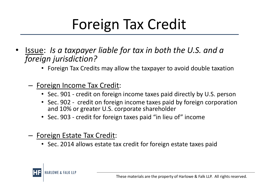## Foreign Tax Credit

- Issue: *Is a taxpayer liable for tax in both the U.S. and a foreign jurisdiction?* 
	- Foreign Tax Credits may allow the taxpayer to avoid double taxation
	- Foreign Income Tax Credit:
		- Sec. 901 credit on foreign income taxes paid directly by U.S. person
		- Sec. 902 credit on foreign income taxes paid by foreign corporation and 10% or greater U.S. corporate shareholder
		- Sec. 903 credit for foreign taxes paid "in lieu of" income
	- Foreign Estate Tax Credit:
		- Sec. 2014 allows estate tax credit for foreign estate taxes paid

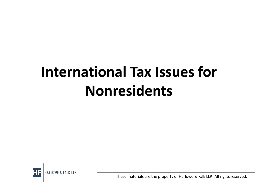# **International Tax Issues for Nonresidents**

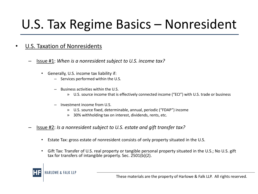### U.S. Tax Regime Basics – Nonresident

#### U.S. Taxation of Nonresidents

- Issue #1: *When is a nonresident subject to U.S. income tax?* 
	- Generally, U.S. income tax liability if:
		- Services performed within the U.S.
		- Business activities within the U.S.
			- » U.S. source income that is effectively connected income ("ECI") with U.S. trade or business
		- Investment income from U.S.
			- » U.S. source fixed, determinable, annual, periodic ("FDAP") income
			- » 30% withholding tax on interest, dividends, rents, etc.
- Issue #2: *Is a nonresident subject to U.S. estate and gift transfer tax?*
	- Estate Tax: gross estate of nonresident consists of only property situated in the U.S.
	- Gift Tax: Transfer of U.S. real property or tangible personal property situated in the U.S.; No U.S. gift tax for transfers of intangible property. Sec. 2501(b)(2).

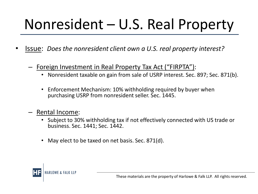- Issue: *Does the nonresident client own a U.S. real property interest?*
	- Foreign Investment in Real Property Tax Act ("FIRPTA"):
		- Nonresident taxable on gain from sale of USRP interest. Sec. 897; Sec. 871(b).
		- Enforcement Mechanism: 10% withholding required by buyer when purchasing USRP from nonresident seller. Sec. 1445.
	- Rental Income:
		- Subject to 30% withholding tax if not effectively connected with US trade or business. Sec. 1441; Sec. 1442.
		- May elect to be taxed on net basis. Sec. 871(d).

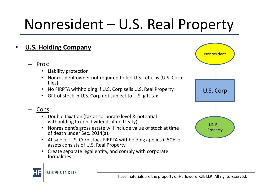#### • **U.S. Holding Company**

- Pros:
	- Liability protection
	- Nonresident owner not required to file U.S. returns (U.S. Corp files)
	- No FIRPTA withholding if U.S. Corp sells U.S. Real Property
	- Gift of stock in U.S. Corp not subject to U.S. gift tax
- Cons:
	- Double taxation (tax at corporate level & potential withholding tax on dividends if no treaty)
	- Nonresident's gross estate will include value of stock at time of death under Sec. 2014(a).
	- At sale of U.S. Corp stock FIRPTA withholding applies if 50% of assets consists of U.S. Real Property
	- Create separate legal entity, and comply with corporate formalities.



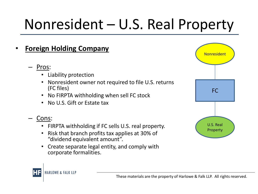- **Foreign Holding Company**
	- Pros:
		- Liability protection
		- Nonresident owner not required to file U.S. returns (FC files)
		- No FIRPTA withholding when sell FC stock
		- No U.S. Gift or Estate tax

#### Cons:

- FIRPTA withholding if FC sells U.S. real property.
- Risk that branch profits tax applies at 30% of "dividend equivalent amount".
- Create separate legal entity, and comply with corporate formalities.



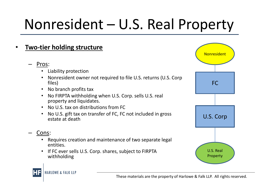

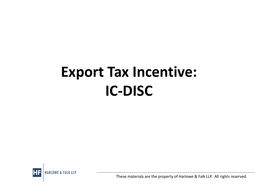## **Export Tax Incentive: IC-DISC**

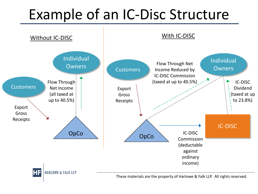## Example of an IC-Disc Structure

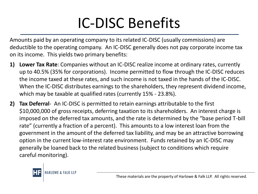## IC-DISC Benefits

Amounts paid by an operating company to its related IC-DISC (usually commissions) are deductible to the operating company. An IC-DISC generally does not pay corporate income tax on its income. This yields two primary benefits:

- **1) Lower Tax Rate**: Companies without an IC-DISC realize income at ordinary rates, currently up to 40.5% (35% for corporations). Income permitted to flow through the IC-DISC reduces the income taxed at these rates, and such income is not taxed in the hands of the IC-DISC. When the IC-DISC distributes earnings to the shareholders, they represent dividend income, which may be taxable at qualified rates (currently 15% - 23.8%).
- **2) Tax Deferral** An IC-DISC is permitted to retain earnings attributable to the first \$10,000,000 of gross receipts, deferring taxation to its shareholders. An interest charge is imposed on the deferred tax amounts, and the rate is determined by the "base period T-bill rate" (currently a fraction of a percent). This amounts to a low interest loan from the government in the amount of the deferred tax liability, and may be an attractive borrowing option in the current low-interest rate environment. Funds retained by an IC-DISC may generally be loaned back to the related business (subject to conditions which require careful monitoring).

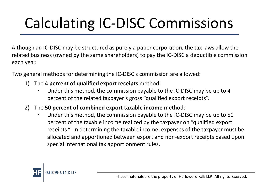# Calculating IC-DISC Commissions

Although an IC-DISC may be structured as purely a paper corporation, the tax laws allow the related business (owned by the same shareholders) to pay the IC-DISC a deductible commission each year.

Two general methods for determining the IC-DISC's commission are allowed:

- 1) The **4 percent of qualified export receipts** method:
	- Under this method, the commission payable to the IC-DISC may be up to 4 percent of the related taxpayer's gross "qualified export receipts".
- 2) The **50 percent of combined export taxable income** method:
	- Under this method, the commission payable to the IC-DISC may be up to 50 percent of the taxable income realized by the taxpayer on "qualified export receipts." In determining the taxable income, expenses of the taxpayer must be allocated and apportioned between export and non-export receipts based upon special international tax apportionment rules.

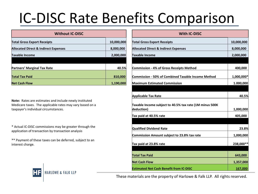## IC-DISC Rate Benefits Comparison

| <b>Without IC-DISC</b>                          |            | <b>With IC-DISC</b>                                       |            |
|-------------------------------------------------|------------|-----------------------------------------------------------|------------|
| <b>Total Gross Export Receipts</b>              | 10,000,000 | <b>Total Gross Export Receipts</b>                        | 10,000,000 |
| <b>Allocated Direct &amp; Indirect Expenses</b> | 8,000,000  | <b>Allocated Direct &amp; Indirect Expenses</b>           | 8,000,000  |
| <b>Taxable Income</b>                           | 2,000,000  | <b>Taxable Income</b>                                     | 2,000,000  |
|                                                 |            |                                                           |            |
| <b>Partners' Marginal Tax Rate</b>              | 40.5%      | <b>Commission - 4% of Gross Receipts Method</b>           | 400,000    |
| <b>Total Tax Paid</b>                           | 810,000    | <b>Commission - 50% of Combined Taxable Income Method</b> | 1,000,000* |
| <b>Net Cash Flow</b>                            | 1,190,000  | <b>Maximum Estimated Commission</b>                       | 1.000,000  |

| <b>Without IC-DISC</b>                                                                                                                                     |            | <b>With IC-DISC</b>                                                                                                           |                                   |  |
|------------------------------------------------------------------------------------------------------------------------------------------------------------|------------|-------------------------------------------------------------------------------------------------------------------------------|-----------------------------------|--|
| <b>Total Gross Export Receipts</b>                                                                                                                         | 10,000,000 | <b>Total Gross Export Receipts</b>                                                                                            | 10,000,000                        |  |
| <b>Allocated Direct &amp; Indirect Expenses</b>                                                                                                            | 8,000,000  | <b>Allocated Direct &amp; Indirect Expenses</b>                                                                               | 8,000,000                         |  |
| <b>Taxable Income</b>                                                                                                                                      | 2,000,000  | <b>Taxable Income</b>                                                                                                         | 2,000,000                         |  |
| <b>Partners' Marginal Tax Rate</b>                                                                                                                         | 40.5%      | <b>Commission - 4% of Gross Receipts Method</b>                                                                               | 400,000                           |  |
| <b>Total Tax Paid</b>                                                                                                                                      | 810,000    | Commission - 50% of Combined Taxable Income Method                                                                            | 1,000,000*                        |  |
| <b>Net Cash Flow</b>                                                                                                                                       | 1,190,000  | <b>Maximum Estimated Commission</b>                                                                                           | 1.000,000                         |  |
| Note: Rates are estimates and include newly instituted<br>Medicare taxes. The applicable rates may vary based on a<br>taxpayer's individual circumstances. |            | <b>Applicable Tax Rate</b><br>Taxable Income subject to 40.5% tax rate (1M minus 500K<br>deduction)<br>Tax paid at 40.5% rate | 40.5%<br>1,000,000<br>405,000     |  |
| * Actual IC-DISC commissions may be greater through the<br>application of transaction by transaction analysis                                              |            | <b>Qualified Dividend Rate</b>                                                                                                | 23.8%                             |  |
| ** Payment of these taxes can be deferred, subject to an<br>interest charge.                                                                               |            | Commission Amount subject to 23.8% tax rate<br>Tax paid at 23.8% rate<br><b>Total Tax Paid</b>                                | 1,000,000<br>238,000**<br>643,000 |  |
|                                                                                                                                                            |            | <b>Net Cash Flow</b><br><b>Estimated Net Cash Benefit from IC-DISC</b>                                                        | 1,357,000<br>167,000              |  |
| $\overline{1}$                                                                                                                                             |            |                                                                                                                               |                                   |  |

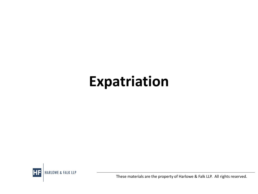## **Expatriation**

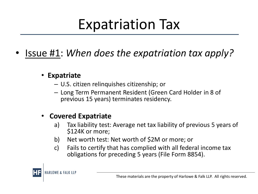## Expatriation Tax

- Issue #1: *When does the expatriation tax apply?*
	- **Expatriate**
		- U.S. citizen relinquishes citizenship; or
		- Long Term Permanent Resident (Green Card Holder in 8 of previous 15 years) terminates residency.

#### • **Covered Expatriate**

- a) Tax liability test: Average net tax liability of previous 5 years of \$124K or more;
- b) Net worth test: Net worth of \$2M or more; or
- c) Fails to certify that has complied with all federal income tax obligations for preceding 5 years (File Form 8854).

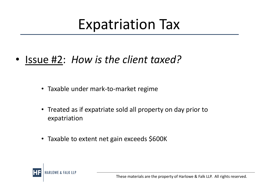## Expatriation Tax

- Issue #2: *How is the client taxed?* 
	- Taxable under mark-to-market regime
	- Treated as if expatriate sold all property on day prior to expatriation
	- Taxable to extent net gain exceeds \$600K

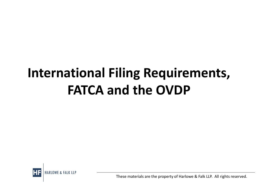### **International Filing Requirements, FATCA and the OVDP**

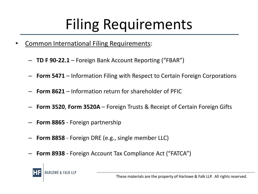## Filing Requirements

- Common International Filing Requirements:
	- **TD F 90-22.1**  Foreign Bank Account Reporting ("FBAR")
	- **Form 5471**  Information Filing with Respect to Certain Foreign Corporations
	- **Form 8621**  Information return for shareholder of PFIC
	- **Form 3520**, **Form 3520A** Foreign Trusts & Receipt of Certain Foreign Gifts
	- **Form 8865**  Foreign partnership
	- **Form 8858**  Foreign DRE (e.g., single member LLC)
	- **Form 8938** Foreign Account Tax Compliance Act ("FATCA")

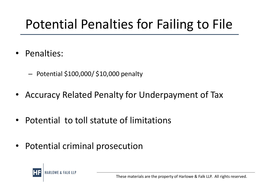### Potential Penalties for Failing to File

- Penalties:
	- Potential \$100,000/ \$10,000 penalty
- Accuracy Related Penalty for Underpayment of Tax
- Potential to toll statute of limitations
- Potential criminal prosecution

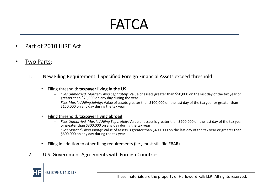## FATCA

- Part of 2010 HIRE Act
- Two Parts:
	- 1. New Filing Requirement if Specified Foreign Financial Assets exceed threshold
		- Filing threshold: **taxpayer living in the US**
			- *Files Unmarried, Married Filing Separately*: Value of assets greater than \$50,000 on the last day of the tax year or greater than \$75,000 on any day during the year
			- *Files Married Filing Jointly*: Value of assets greater than \$100,000 on the last day of the tax year or greater than \$150,000 on any day during the tax year
		- Filing threshold: **taxpayer living abroad**
			- *Files Unmarried, Married Filing Separately*: Value of assets is greater than \$200,000 on the last day of the tax year or greater than \$300,000 on any day during the tax year
			- *Files Married Filing Jointly*: Value of assets is greater than \$400,000 on the last day of the tax year or greater than \$600,000 on any day during the tax year
		- Filing in addition to other filing requirements (i.e., must still file FBAR)
	- 2. U.S. Government Agreements with Foreign Countries

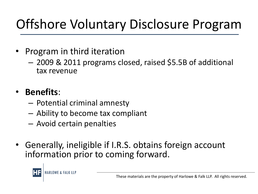## Offshore Voluntary Disclosure Program

- Program in third iteration
	- 2009 & 2011 programs closed, raised \$5.5B of additional tax revenue

#### • **Benefits**:

- Potential criminal amnesty
- Ability to become tax compliant
- Avoid certain penalties
- Generally, ineligible if I.R.S. obtains foreign account information prior to coming forward.